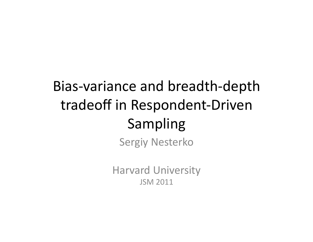# Bias-variance and breadth-depth tradeoff in Respondent-Driven Sampling+

Sergiy Nesterko

Harvard University JSM+2011+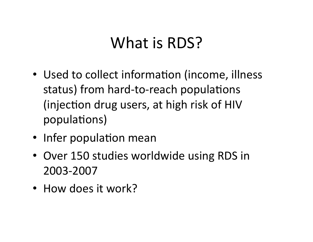### What is RDS?

- Used to collect information (income, illness status) from hard-to-reach populations (injection drug users, at high risk of HIV populations)
- Infer population mean
- Over 150 studies worldwide using RDS in 2003-2007
- How does it work?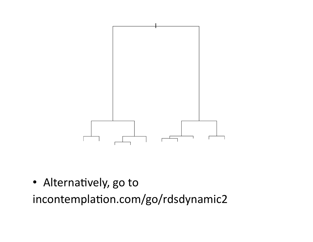

· Alternatively, go to

incontemplation.com/go/rdsdynamic2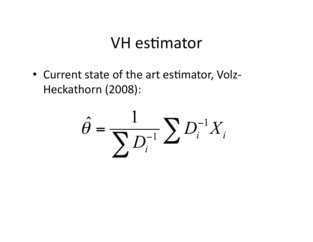#### **VH** estimator

• Current state of the art estimator, Volz-Heckathorn (2008):

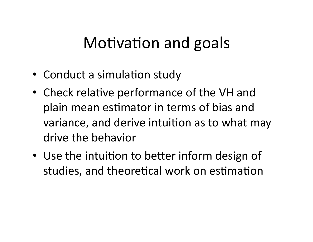#### Motivation and goals

- Conduct a simulation study
- Check relative performance of the VH and plain mean estimator in terms of bias and variance, and derive intuition as to what may drive the behavior
- Use the intuition to better inform design of studies, and theoretical work on estimation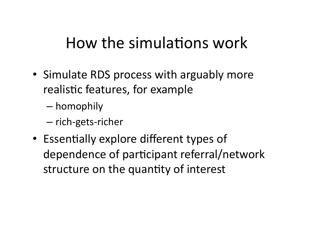#### How the simulations work

- Simulate RDS process with arguably more realistic features, for example
	- homophily
	- $-$  rich-gets-richer
- Essentially explore different types of dependence of participant referral/network structure on the quantity of interest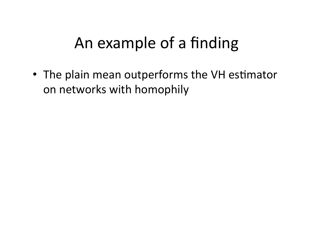### An example of a finding

• The plain mean outperforms the VH estimator on networks with homophily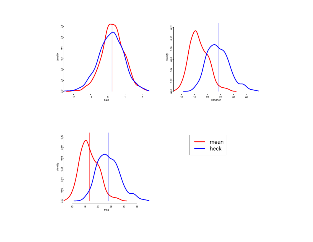





 $\frac{1}{35}$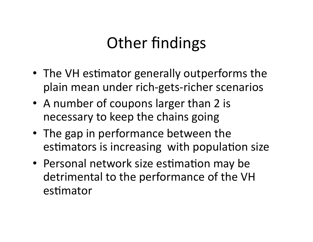## Other findings

- The VH estimator generally outperforms the plain mean under rich-gets-richer scenarios
- A number of coupons larger than 2 is necessary to keep the chains going
- The gap in performance between the estimators is increasing with population size
- Personal network size estimation may be detrimental to the performance of the VH estimator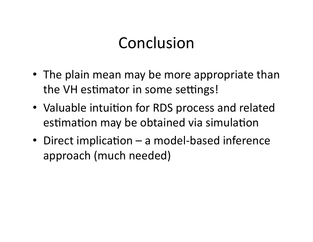### Conclusion+

- The plain mean may be more appropriate than the VH estimator in some settings!
- Valuable intuition for RDS process and related estimation may be obtained via simulation
- Direct implication a model-based inference approach (much needed)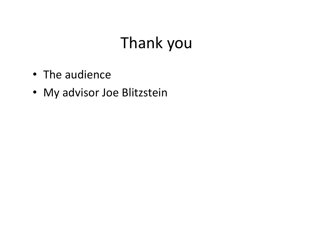### Thank you

- The audience
- My advisor Joe Blitzstein